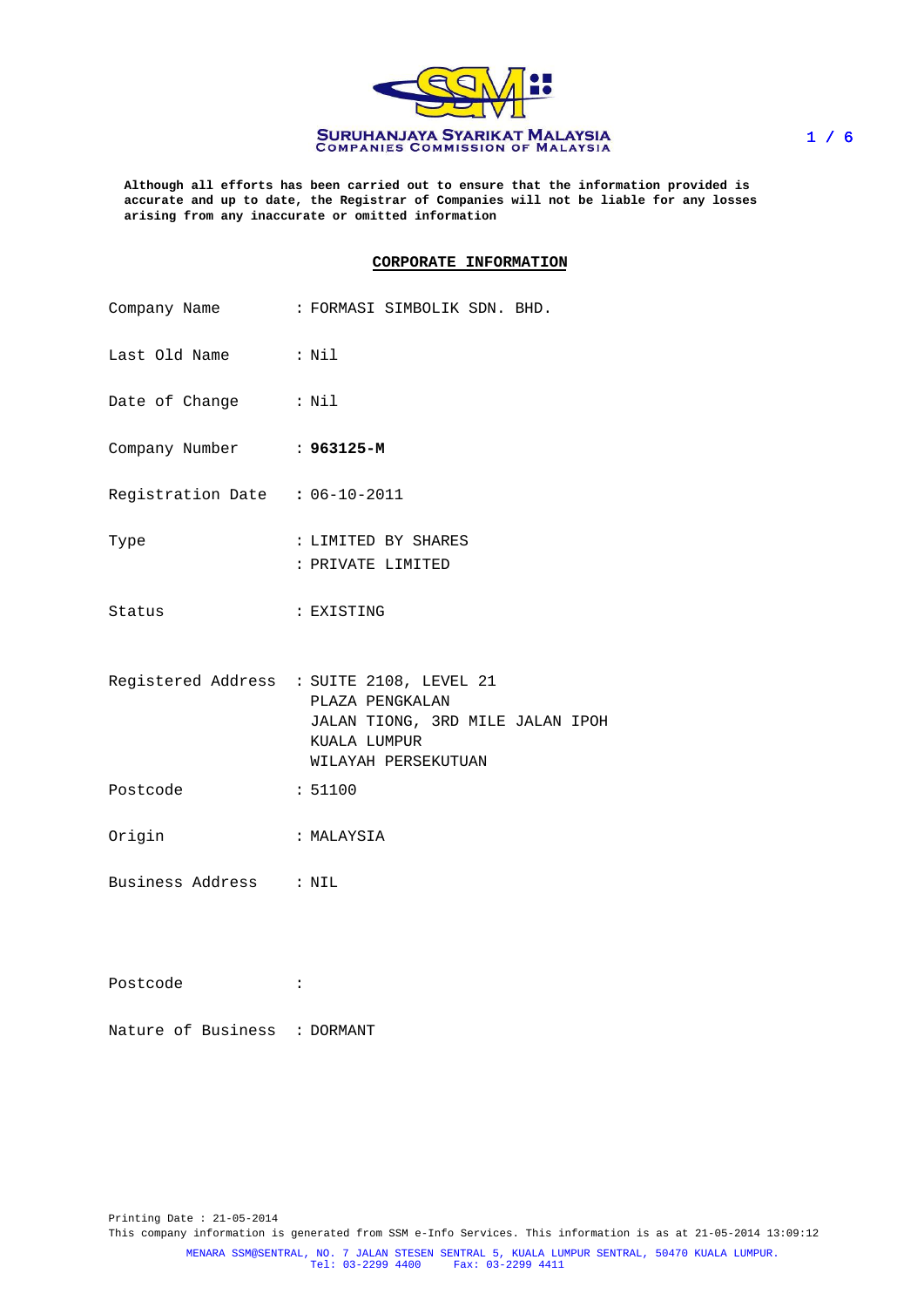

**Although all efforts has been carried out to ensure that the information provided is accurate and up to date, the Registrar of Companies will not be liable for any losses arising from any inaccurate or omitted information**

### **CORPORATE INFORMATION**

|                                | Company Name : FORMASI SIMBOLIK SDN. BHD.                                                                                               |
|--------------------------------|-----------------------------------------------------------------------------------------------------------------------------------------|
| Last Old Name : Nil            |                                                                                                                                         |
| Date of Change : Nil           |                                                                                                                                         |
| Company Number : 963125-M      |                                                                                                                                         |
| Registration Date : 06-10-2011 |                                                                                                                                         |
| Type                           | : LIMITED BY SHARES<br>: PRIVATE LIMITED                                                                                                |
| Status                         | : EXISTING                                                                                                                              |
|                                | Registered Address : SUITE 2108, LEVEL 21<br>PLAZA PENGKALAN<br>JALAN TIONG, 3RD MILE JALAN IPOH<br>KUALA LUMPUR<br>WILAYAH PERSEKUTUAN |
| Postcode                       | : 51100                                                                                                                                 |
| Origin                         | : MALAYSIA                                                                                                                              |
| Business Address : NIL         |                                                                                                                                         |
|                                |                                                                                                                                         |
| Postcode                       | :                                                                                                                                       |

|  | Nature of Business | : DORMANT |
|--|--------------------|-----------|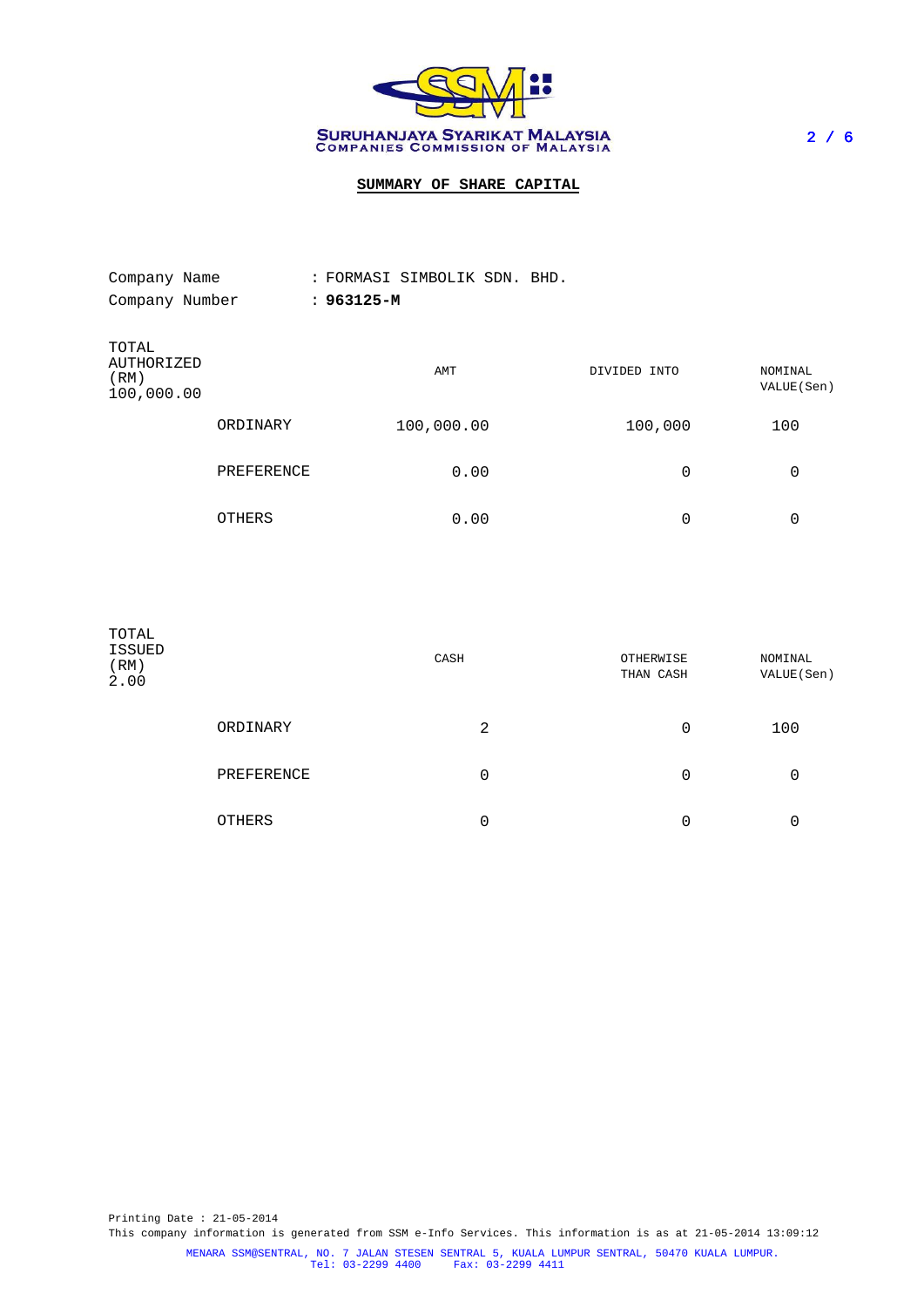

# **SUMMARY OF SHARE CAPITAL**

| Company Name                              |            | : FORMASI SIMBOLIK SDN. BHD. |              |                        |
|-------------------------------------------|------------|------------------------------|--------------|------------------------|
| Company Number                            |            | $: 963125 - M$               |              |                        |
| TOTAL<br>AUTHORIZED<br>(RM)<br>100,000.00 |            | AMT                          | DIVIDED INTO | NOMINAL<br>VALUE (Sen) |
|                                           | ORDINARY   | 100,000.00                   | 100,000      | 100                    |
|                                           | PREFERENCE | 0.00                         | 0            | 0                      |
|                                           | OTHERS     | 0.00                         | 0            | 0                      |

| TOTAL<br>ISSUED<br>(RM)<br>2.00 |            | CASH | OTHERWISE<br>THAN CASH | NOMINAL<br>VALUE (Sen) |
|---------------------------------|------------|------|------------------------|------------------------|
|                                 | ORDINARY   | 2    | 0                      | 100                    |
|                                 | PREFERENCE | 0    | 0                      | 0                      |
|                                 | OTHERS     | 0    | 0                      | 0                      |

Printing Date : 21-05-2014 This company information is generated from SSM e-Info Services. This information is as at 21-05-2014 13:09:12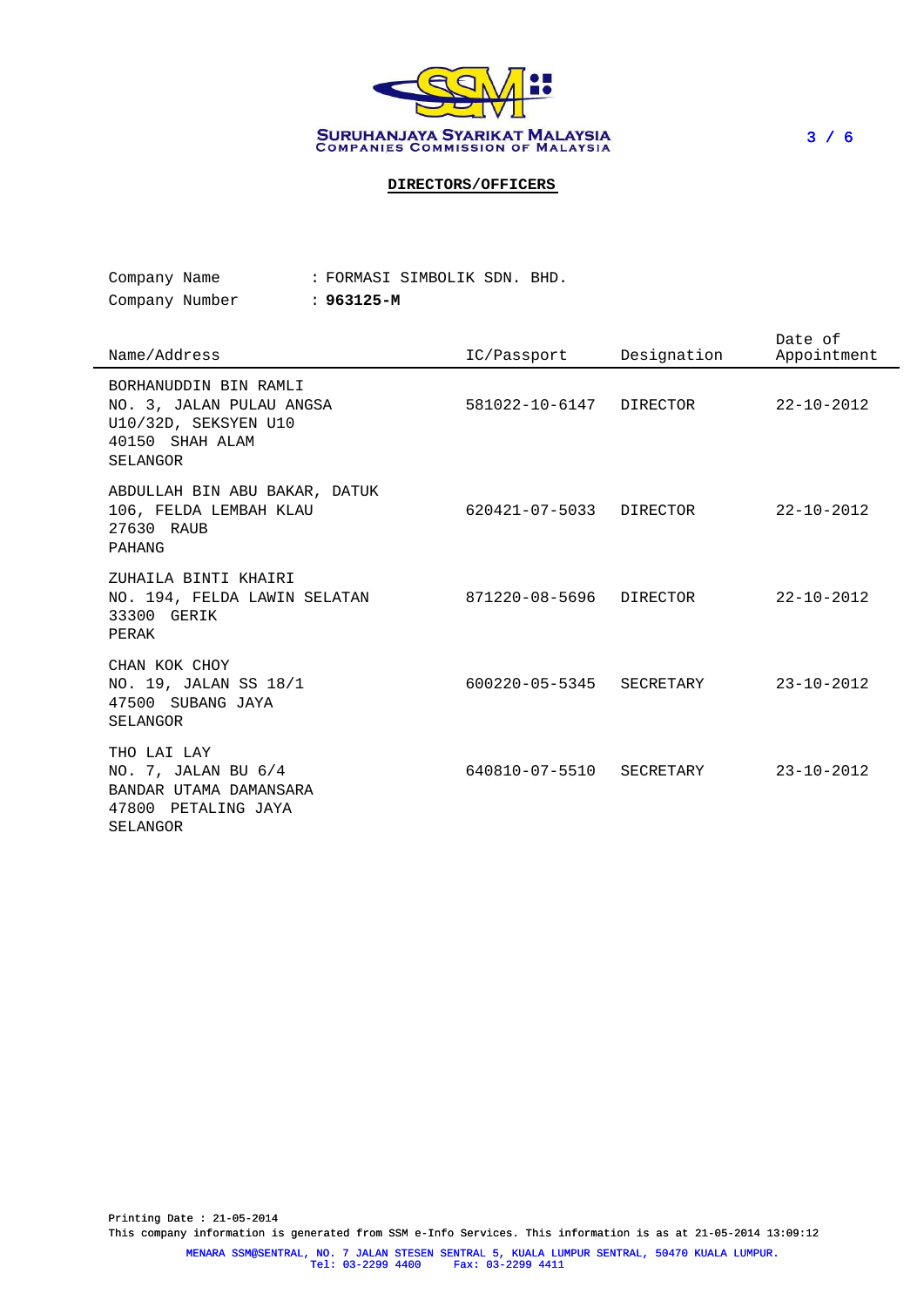

**DIRECTORS/OFFICERS**

| Company Name   |  |            | : FORMASI SIMBOLIK SDN. BHD. |  |
|----------------|--|------------|------------------------------|--|
| Company Number |  | : 963125-M |                              |  |

| Name/Address                                                                                             | IC/Passport              | Designation | Date of<br>Appointment |
|----------------------------------------------------------------------------------------------------------|--------------------------|-------------|------------------------|
| BORHANUDDIN BIN RAMLI<br>NO. 3, JALAN PULAU ANGSA<br>U10/32D, SEKSYEN U10<br>40150 SHAH ALAM<br>SELANGOR | 581022-10-6147 DIRECTOR  |             | $22 - 10 - 2012$       |
| ABDULLAH BIN ABU BAKAR, DATUK<br>106, FELDA LEMBAH KLAU<br>27630 RAUB<br>PAHANG                          | 620421-07-5033           | DIRECTOR    | $22 - 10 - 2012$       |
| ZUHAILA BINTI KHAIRI<br>NO. 194, FELDA LAWIN SELATAN<br>33300 GERIK<br>PERAK                             | 871220-08-5696           | DIRECTOR    | $22 - 10 - 2012$       |
| CHAN KOK CHOY<br>NO. 19, JALAN SS 18/1<br>47500 SUBANG JAYA<br>SELANGOR                                  | 600220-05-5345 SECRETARY |             | $23 - 10 - 2012$       |
| THO LAI LAY<br>NO. 7, JALAN BU 6/4<br>BANDAR UTAMA DAMANSARA<br>47800 PETALING JAYA<br>SELANGOR          | 640810-07-5510 SECRETARY |             | $23 - 10 - 2012$       |

Printing Date : 21-05-2014 This company information is generated from SSM e-Info Services. This information is as at 21-05-2014 13:09:12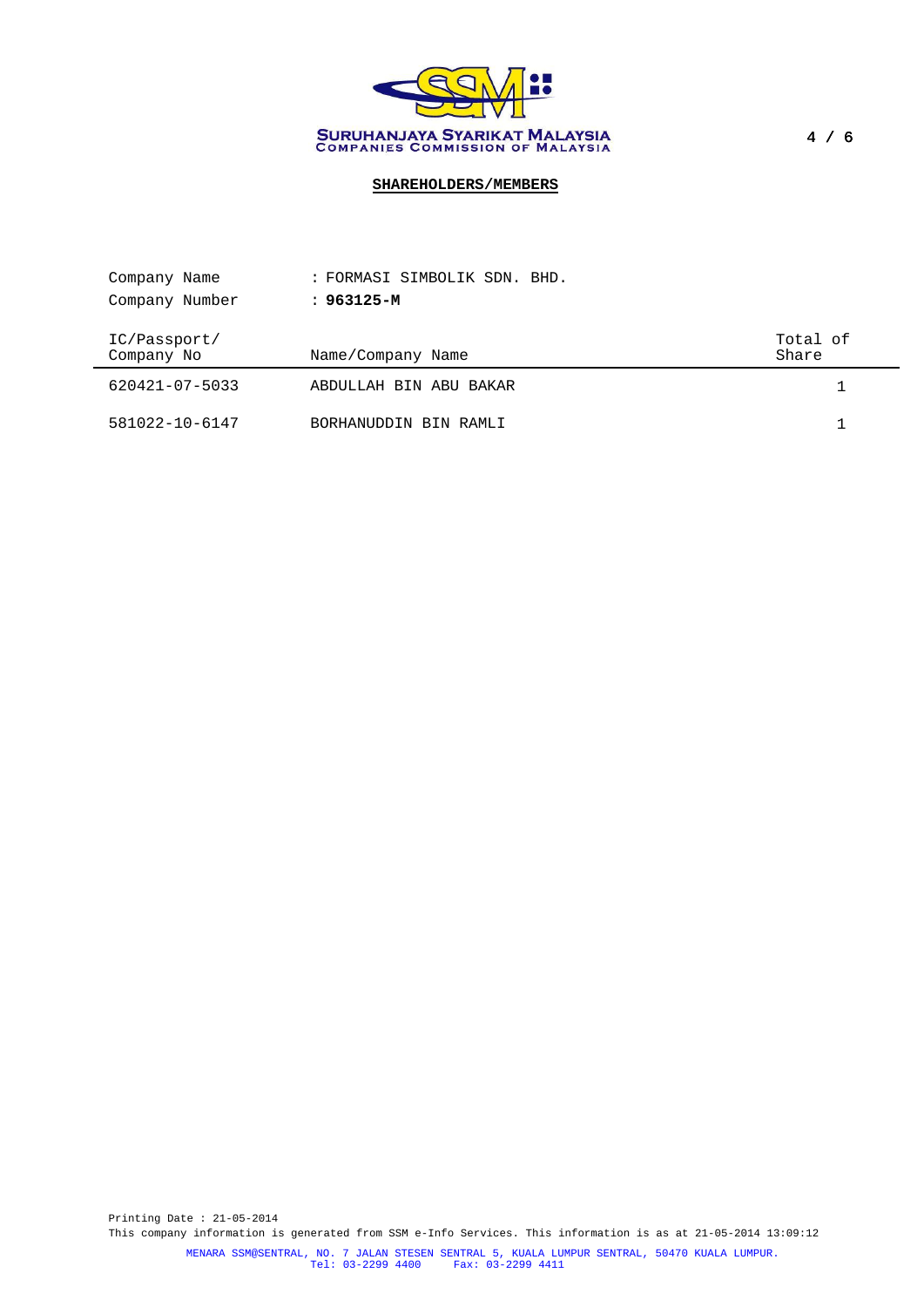

# **SHAREHOLDERS/MEMBERS**

| Company Name               | : FORMASI SIMBOLIK SDN. BHD. |                   |
|----------------------------|------------------------------|-------------------|
| Company Number             | : 963125-M                   |                   |
| IC/Passport/<br>Company No | Name/Company Name            | Total of<br>Share |
| 620421-07-5033             | ABDULLAH BIN ABU BAKAR       |                   |
| 581022-10-6147             | BORHANUDDIN BIN RAMLI        |                   |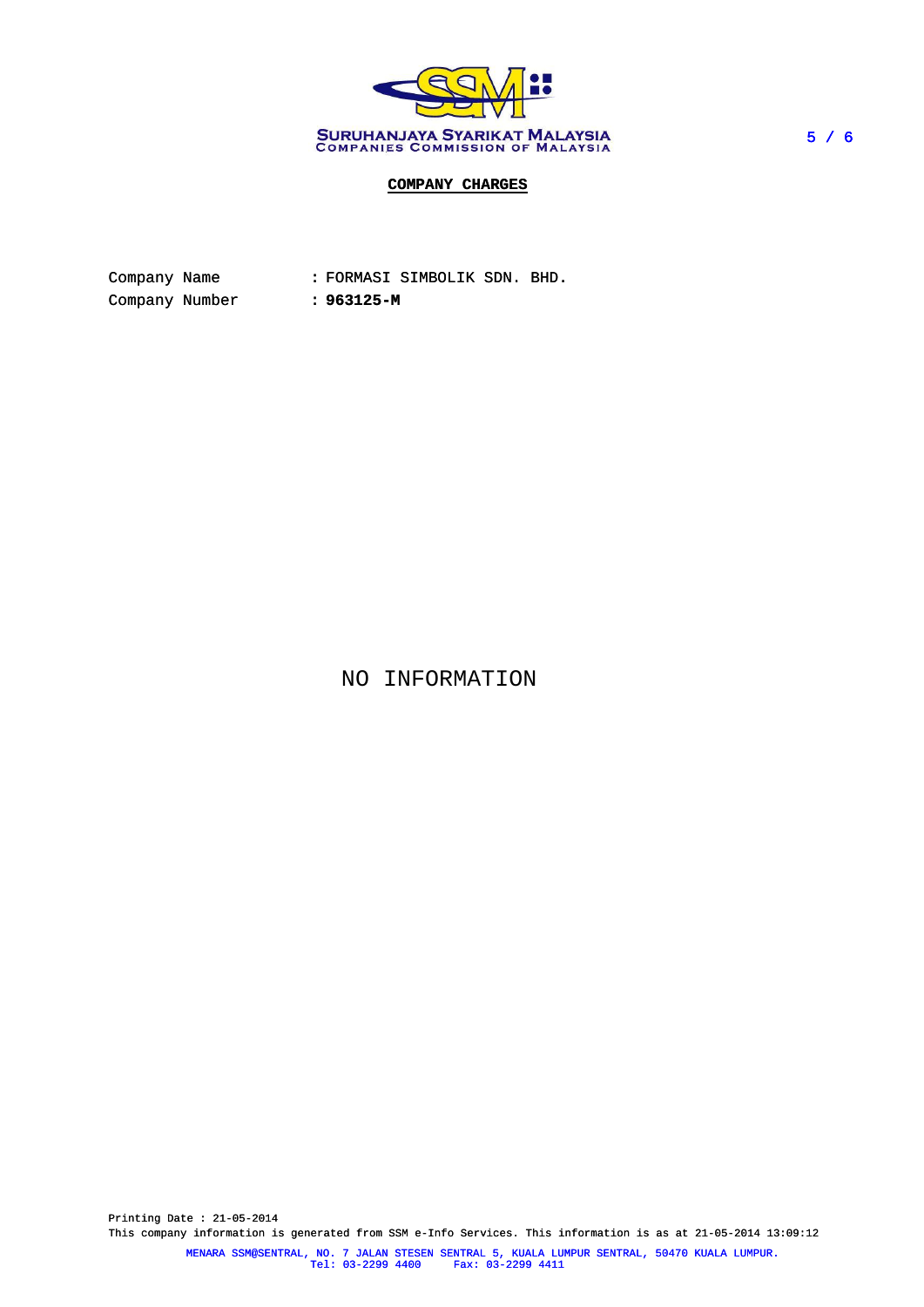

# **COMPANY CHARGES**

| Company Name   |  |            | : FORMASI SIMBOLIK SDN. BHD. |  |
|----------------|--|------------|------------------------------|--|
| Company Number |  | : 963125-M |                              |  |

NO INFORMATION